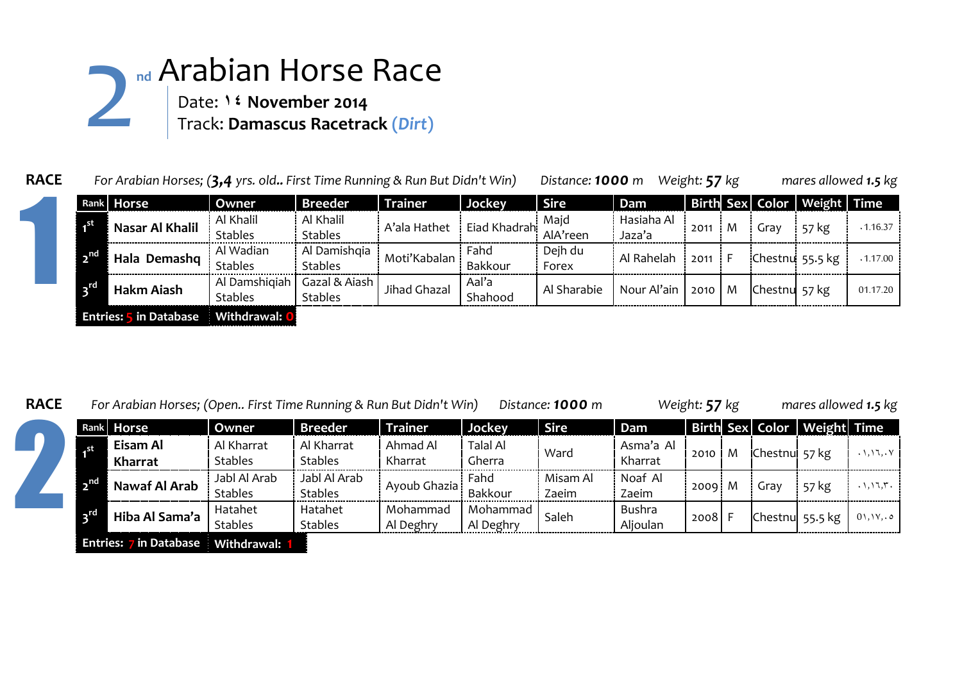## **nd** Arabian Horse Race Date: **14 November 2014** Track: **Damascus Racetrack (***Dirt***)** 2

|  | Rank Horse                    | Owner          | <b>Breeder</b> | <b>Trainer</b> | Jockey       | <b>Sire</b> | Dam                  |      |   |               | Birth Sex Color Weight Time |          |
|--|-------------------------------|----------------|----------------|----------------|--------------|-------------|----------------------|------|---|---------------|-----------------------------|----------|
|  | Nasar Al Khalil               | Al Khalil      | Al Khalil      | A'ala Hathet   | Eiad Khadrah | Majd        | Hasiaha Al<br>Jaza'a | 2011 | M | Grav          | 57 kg                       | .1.16.37 |
|  |                               | <b>Stables</b> | <b>Stables</b> |                |              | AlA'reen    |                      |      |   |               |                             |          |
|  | Hala Demashq                  | Al Wadian      | Al Damishqia   | Moti'Kabalan   | Fahd         | Dejh du     | Al Rahelah           | 2011 |   |               | Chestnu 55.5 kg             | .1.17.00 |
|  |                               | <b>Stables</b> | <b>Stables</b> |                | Bakkour      | Forex       |                      |      |   |               |                             |          |
|  | Hakm Aiash                    | Al Damshigiah  | Gazal & Aiash  | Jihad Ghazal   | Aal'a        | Al Sharabie | Nour Al'ain          | 2010 | M | Chestnu 57 kg |                             | 01.17.20 |
|  |                               | <b>Stables</b> | <b>Stables</b> |                | Shahood      |             |                      |      |   |               |                             |          |
|  | <b>Entries: 5 in Database</b> | Withdrawal: 0  |                |                |              |             |                      |      |   |               |                             |          |

**RACE** *For Arabian Horses; (Open.. First Time Running & Run But Didn't Win) Distance: 1000 m Weight: 57 kg mares allowed 1.5 kg*

|      |                                           |                                | ັ                              |                       |                           | $\cdot$<br>---    |                      |      |   |                | <b>20</b>                   |                                                 |  |
|------|-------------------------------------------|--------------------------------|--------------------------------|-----------------------|---------------------------|-------------------|----------------------|------|---|----------------|-----------------------------|-------------------------------------------------|--|
|      | Rank Horse                                | Owner                          | Breeder <sup>1</sup>           | <b>Trainer</b>        | Jockey                    | <b>Sire</b>       | Dam                  |      |   |                | Birth Sex Color Weight Time |                                                 |  |
|      | Eisam Al<br>Kharrat                       | Al Kharrat<br><b>Stables</b>   | Al Kharrat<br><b>Stables</b>   | Ahmad Al<br>Kharrat   | <b>Talal Al</b><br>Gherra | Ward              | Asma'a Al<br>Kharrat | 2010 | M | Chestnu' 57 kg |                             | $. \setminus, \setminus \setminus, . \setminus$ |  |
| _ nd | Nawaf Al Arab                             | Jabl Al Arab<br><b>Stables</b> | Jabl Al Arab<br><b>Stables</b> | Ayoub Ghazia          | Fahd<br>Bakkour           | Misam Al<br>Zaeim | Noaf Al<br>Zaeim     | 2009 | M | ürav           | 57 kg                       | $. \backslash, \backslash, \backslash, \ldots$  |  |
| TG.  | Hiba Al Sama'a                            | Hatahet<br><b>Stables</b>      | Hatahet<br><b>Stables</b>      | Mohammad<br>Al Deghry | Mohammad<br>Al Deghry     | Saleh             | Bushra<br>Aljoulan   | 2008 |   |                | Chestnul 55.5 kg            | 01, 11, 0                                       |  |
|      | <b>Entries:</b> 7 in Database Mithdrawal. |                                |                                |                       |                           |                   |                      |      |   |                |                             |                                                 |  |

**Entries: 7 in Database Withdrawal: 1**